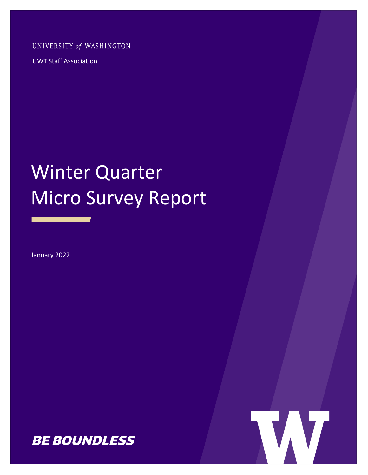UNIVERSITY of WASHINGTON

UWT Staff Association

# Winter Quarter Micro Survey Report

January 2022



WV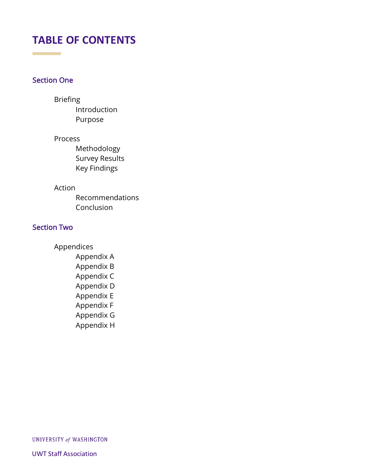# **TABLE OF CONTENTS**

## Section One

**Contract Contract Contract** 

#### Briefing

Introduction Purpose

#### Process

Methodology Survey Results Key Findings

#### Action

Recommendations Conclusion

#### Section Two

Appendices Appendix A

Appendix B Appendix C Appendix D Appendix E Appendix F Appendix G Appendix H

UNIVERSITY of WASHINGTON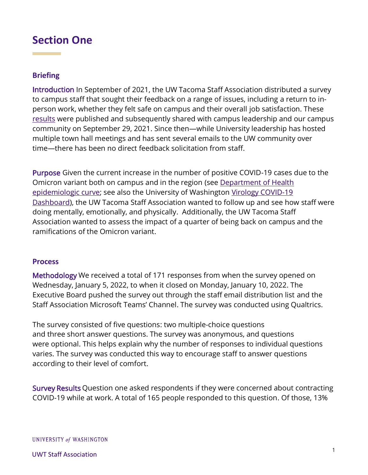# **Section One**

#### **Briefing**

Introduction In September of 2021, the UW Tacoma Staff Association distributed a survey to campus staff that sought their feedback on a range of issues, including a return to inperson work, whether they felt safe on campus and their overall job satisfaction. These [results](https://documentcloud.adobe.com/link/track?uri=urn:aaid:scds:US:055eecdb-ec04-4a9f-8cf4-85cf602b45f0) were published and subsequently shared with campus leadership and our campus community on September 29, 2021. Since then—while University leadership has hosted multiple town hall meetings and has sent several emails to the UW community over time—there has been no direct feedback solicitation from staff.

Purpose Given the current increase in the number of positive COVID-19 cases due to the Omicron variant both on campus and in the region (see [Department of Health](https://www.doh.wa.gov/Emergencies/COVID19/DataDashboard)  [epidemiologic curve;](https://www.doh.wa.gov/Emergencies/COVID19/DataDashboard) see also the University of Washington [Virology COVID-19](https://www.doh.wa.gov/Emergencies/COVID19/DataDashboard)  [Dashboard\)](https://www.doh.wa.gov/Emergencies/COVID19/DataDashboard), the UW Tacoma Staff Association wanted to follow up and see how staff were doing mentally, emotionally, and physically. Additionally, the UW Tacoma Staff Association wanted to assess the impact of a quarter of being back on campus and the ramifications of the Omicron variant.

#### **Process**

Methodology We received a total of 171 responses from when the survey opened on Wednesday, January 5, 2022, to when it closed on Monday, January 10, 2022. The Executive Board pushed the survey out through the staff email distribution list and the Staff Association Microsoft Teams' Channel. The survey was conducted using Qualtrics.

The survey consisted of five questions: two multiple-choice questions and three short answer questions. The survey was anonymous, and questions were optional. This helps explain why the number of responses to individual questions varies. The survey was conducted this way to encourage staff to answer questions according to their level of comfort.

Survey Results Question one asked respondents if they were concerned about contracting COVID-19 while at work. A total of 165 people responded to this question. Of those, 13%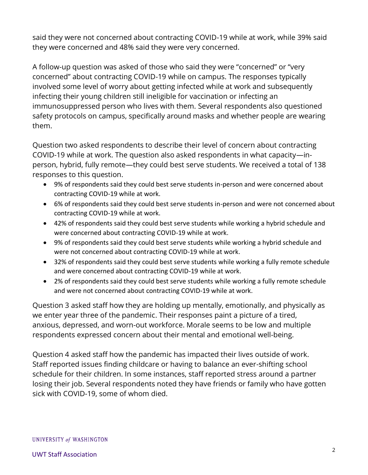said they were not concerned about contracting COVID-19 while at work, while 39% said they were concerned and 48% said they were very concerned.

A follow-up question was asked of those who said they were "concerned" or "very concerned" about contracting COVID-19 while on campus. The responses typically involved some level of worry about getting infected while at work and subsequently infecting their young children still ineligible for vaccination or infecting an immunosuppressed person who lives with them. Several respondents also questioned safety protocols on campus, specifically around masks and whether people are wearing them.

Question two asked respondents to describe their level of concern about contracting COVID-19 while at work. The question also asked respondents in what capacity—inperson, hybrid, fully remote—they could best serve students. We received a total of 138 responses to this question.

- 9% of respondents said they could best serve students in-person and were concerned about contracting COVID-19 while at work.
- 6% of respondents said they could best serve students in-person and were not concerned about contracting COVID-19 while at work.
- 42% of respondents said they could best serve students while working a hybrid schedule and were concerned about contracting COVID-19 while at work.
- 9% of respondents said they could best serve students while working a hybrid schedule and were not concerned about contracting COVID-19 while at work.
- 32% of respondents said they could best serve students while working a fully remote schedule and were concerned about contracting COVID-19 while at work.
- 2% of respondents said they could best serve students while working a fully remote schedule and were not concerned about contracting COVID-19 while at work.

Question 3 asked staff how they are holding up mentally, emotionally, and physically as we enter year three of the pandemic. Their responses paint a picture of a tired, anxious, depressed, and worn-out workforce. Morale seems to be low and multiple respondents expressed concern about their mental and emotional well-being.

Question 4 asked staff how the pandemic has impacted their lives outside of work. Staff reported issues finding childcare or having to balance an ever-shifting school schedule for their children. In some instances, staff reported stress around a partner losing their job. Several respondents noted they have friends or family who have gotten sick with COVID-19, some of whom died.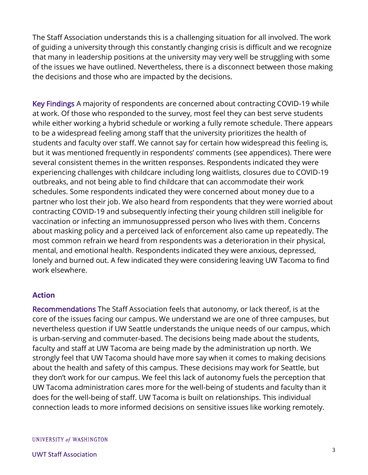The Staff Association understands this is a challenging situation for all involved. The work of guiding a university through this constantly changing crisis is difficult and we recognize that many in leadership positions at the university may very well be struggling with some of the issues we have outlined. Nevertheless, there is a disconnect between those making the decisions and those who are impacted by the decisions.

Key Findings A majority of respondents are concerned about contracting COVID-19 while at work. Of those who responded to the survey, most feel they can best serve students while either working a hybrid schedule or working a fully remote schedule. There appears to be a widespread feeling among staff that the university prioritizes the health of students and faculty over staff. We cannot say for certain how widespread this feeling is, but it was mentioned frequently in respondents' comments (see appendices). There were several consistent themes in the written responses. Respondents indicated they were experiencing challenges with childcare including long waitlists, closures due to COVID-19 outbreaks, and not being able to find childcare that can accommodate their work schedules. Some respondents indicated they were concerned about money due to a partner who lost their job. We also heard from respondents that they were worried about contracting COVID-19 and subsequently infecting their young children still ineligible for vaccination or infecting an immunosuppressed person who lives with them. Concerns about masking policy and a perceived lack of enforcement also came up repeatedly. The most common refrain we heard from respondents was a deterioration in their physical, mental, and emotional health. Respondents indicated they were anxious, depressed, lonely and burned out. A few indicated they were considering leaving UW Tacoma to find work elsewhere.

#### **Action**

Recommendations The Staff Association feels that autonomy, or lack thereof, is at the core of the issues facing our campus. We understand we are one of three campuses, but nevertheless question if UW Seattle understands the unique needs of our campus, which is urban-serving and commuter-based. The decisions being made about the students, faculty and staff at UW Tacoma are being made by the administration up north. We strongly feel that UW Tacoma should have more say when it comes to making decisions about the health and safety of this campus. These decisions may work for Seattle, but they don't work for our campus. We feel this lack of autonomy fuels the perception that UW Tacoma administration cares more for the well-being of students and faculty than it does for the well-being of staff. UW Tacoma is built on relationships. This individual connection leads to more informed decisions on sensitive issues like working remotely.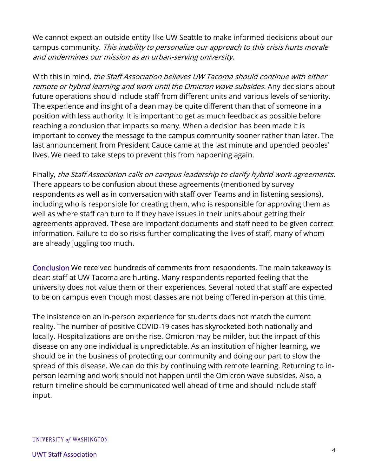We cannot expect an outside entity like UW Seattle to make informed decisions about our campus community. This inability to personalize our approach to this crisis hurts morale and undermines our mission as an urban-serving university.

With this in mind, the Staff Association believes UW Tacoma should continue with either remote or hybrid learning and work until the Omicron wave subsides. Any decisions about future operations should include staff from different units and various levels of seniority. The experience and insight of a dean may be quite different than that of someone in a position with less authority. It is important to get as much feedback as possible before reaching a conclusion that impacts so many. When a decision has been made it is important to convey the message to the campus community sooner rather than later. The last announcement from President Cauce came at the last minute and upended peoples' lives. We need to take steps to prevent this from happening again.

Finally, the Staff Association calls on campus leadership to clarify hybrid work agreements. There appears to be confusion about these agreements (mentioned by survey respondents as well as in conversation with staff over Teams and in listening sessions), including who is responsible for creating them, who is responsible for approving them as well as where staff can turn to if they have issues in their units about getting their agreements approved. These are important documents and staff need to be given correct information. Failure to do so risks further complicating the lives of staff, many of whom are already juggling too much.

Conclusion We received hundreds of comments from respondents. The main takeaway is clear: staff at UW Tacoma are hurting. Many respondents reported feeling that the university does not value them or their experiences. Several noted that staff are expected to be on campus even though most classes are not being offered in-person at this time.

The insistence on an in-person experience for students does not match the current reality. The number of positive COVID-19 cases has skyrocketed both nationally and locally. Hospitalizations are on the rise. Omicron may be milder, but the impact of this disease on any one individual is unpredictable. As an institution of higher learning, we should be in the business of protecting our community and doing our part to slow the spread of this disease. We can do this by continuing with remote learning. Returning to inperson learning and work should not happen until the Omicron wave subsides. Also, a return timeline should be communicated well ahead of time and should include staff input.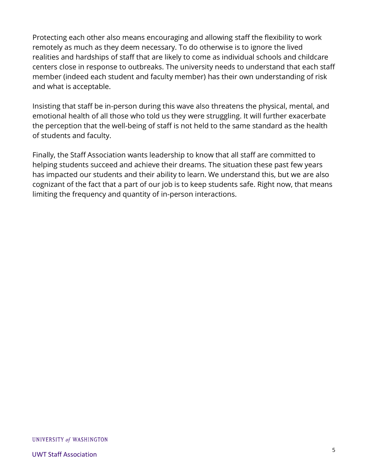Protecting each other also means encouraging and allowing staff the flexibility to work remotely as much as they deem necessary. To do otherwise is to ignore the lived realities and hardships of staff that are likely to come as individual schools and childcare centers close in response to outbreaks. The university needs to understand that each staff member (indeed each student and faculty member) has their own understanding of risk and what is acceptable.

Insisting that staff be in-person during this wave also threatens the physical, mental, and emotional health of all those who told us they were struggling. It will further exacerbate the perception that the well-being of staff is not held to the same standard as the health of students and faculty.

Finally, the Staff Association wants leadership to know that all staff are committed to helping students succeed and achieve their dreams. The situation these past few years has impacted our students and their ability to learn. We understand this, but we are also cognizant of the fact that a part of our job is to keep students safe. Right now, that means limiting the frequency and quantity of in-person interactions.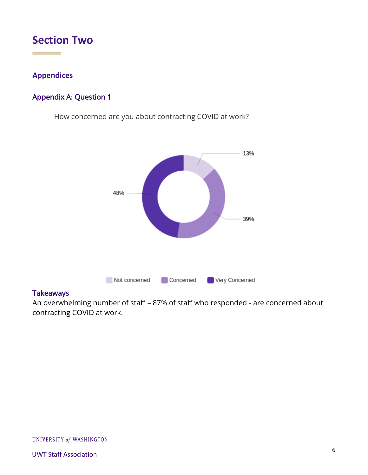# **Section Two**

### **Appendices**

# Appendix A: Question 1

How concerned are you about contracting COVID at work?



#### **Takeaways**

An overwhelming number of staff – 87% of staff who responded - are concerned about contracting COVID at work.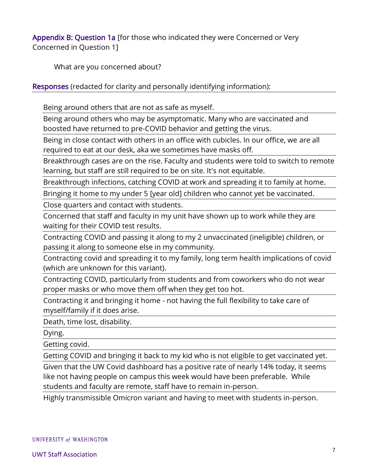Appendix B: Question 1a [for those who indicated they were Concerned or Very Concerned in Question 1]

What are you concerned about?

Responses (redacted for clarity and personally identifying information):

Being around others that are not as safe as myself.

Being around others who may be asymptomatic. Many who are vaccinated and boosted have returned to pre-COVID behavior and getting the virus.

Being in close contact with others in an office with cubicles. In our office, we are all required to eat at our desk, aka we sometimes have masks off.

Breakthrough cases are on the rise. Faculty and students were told to switch to remote learning, but staff are still required to be on site. It's not equitable.

Breakthrough infections, catching COVID at work and spreading it to family at home.

Bringing it home to my under 5 [year old] children who cannot yet be vaccinated.

Close quarters and contact with students.

Concerned that staff and faculty in my unit have shown up to work while they are waiting for their COVID test results.

Contracting COVID and passing it along to my 2 unvaccinated (ineligible) children, or passing it along to someone else in my community.

Contracting covid and spreading it to my family, long term health implications of covid (which are unknown for this variant).

Contracting COVID, particularly from students and from coworkers who do not wear proper masks or who move them off when they get too hot.

Contracting it and bringing it home - not having the full flexibility to take care of myself/family if it does arise.

Death, time lost, disability.

Dying.

Getting covid.

Getting COVID and bringing it back to my kid who is not eligible to get vaccinated yet.

Given that the UW Covid dashboard has a positive rate of nearly 14% today, it seems like not having people on campus this week would have been preferable. While students and faculty are remote, staff have to remain in-person.

Highly transmissible Omicron variant and having to meet with students in-person.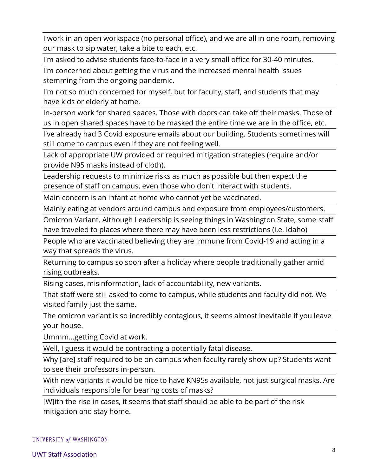I work in an open workspace (no personal office), and we are all in one room, removing our mask to sip water, take a bite to each, etc.

I'm asked to advise students face-to-face in a very small office for 30-40 minutes.

I'm concerned about getting the virus and the increased mental health issues stemming from the ongoing pandemic.

I'm not so much concerned for myself, but for faculty, staff, and students that may have kids or elderly at home.

In-person work for shared spaces. Those with doors can take off their masks. Those of us in open shared spaces have to be masked the entire time we are in the office, etc.

I've already had 3 Covid exposure emails about our building. Students sometimes will still come to campus even if they are not feeling well.

Lack of appropriate UW provided or required mitigation strategies (require and/or provide N95 masks instead of cloth).

Leadership requests to minimize risks as much as possible but then expect the presence of staff on campus, even those who don't interact with students.

Main concern is an infant at home who cannot yet be vaccinated.

Mainly eating at vendors around campus and exposure from employees/customers.

Omicron Variant. Although Leadership is seeing things in Washington State, some staff have traveled to places where there may have been less restrictions (i.e. Idaho)

People who are vaccinated believing they are immune from Covid-19 and acting in a way that spreads the virus.

Returning to campus so soon after a holiday where people traditionally gather amid rising outbreaks.

Rising cases, misinformation, lack of accountability, new variants.

That staff were still asked to come to campus, while students and faculty did not. We visited family just the same.

The omicron variant is so incredibly contagious, it seems almost inevitable if you leave your house.

Ummm...getting Covid at work.

Well, I guess it would be contracting a potentially fatal disease.

Why [are] staff required to be on campus when faculty rarely show up? Students want to see their professors in-person.

With new variants it would be nice to have KN95s available, not just surgical masks. Are individuals responsible for bearing costs of masks?

[W]ith the rise in cases, it seems that staff should be able to be part of the risk mitigation and stay home.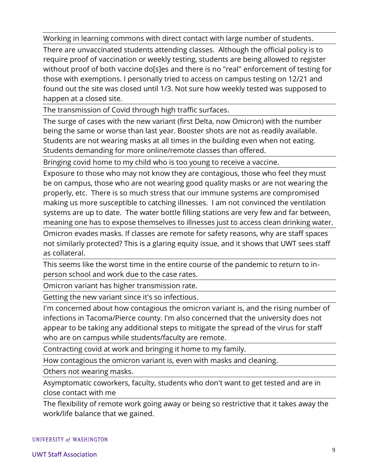Working in learning commons with direct contact with large number of students.

There are unvaccinated students attending classes. Although the official policy is to require proof of vaccination or weekly testing, students are being allowed to register without proof of both vaccine do[s]es and there is no "real" enforcement of testing for those with exemptions. I personally tried to access on campus testing on 12/21 and found out the site was closed until 1/3. Not sure how weekly tested was supposed to happen at a closed site.

The transmission of Covid through high traffic surfaces.

The surge of cases with the new variant (first Delta, now Omicron) with the number being the same or worse than last year. Booster shots are not as readily available. Students are not wearing masks at all times in the building even when not eating. Students demanding for more online/remote classes than offered.

Bringing covid home to my child who is too young to receive a vaccine.

Exposure to those who may not know they are contagious, those who feel they must be on campus, those who are not wearing good quality masks or are not wearing the properly, etc. There is so much stress that our immune systems are compromised making us more susceptible to catching illnesses. I am not convinced the ventilation systems are up to date. The water bottle filling stations are very few and far between, meaning one has to expose themselves to illnesses just to access clean drinking water.

Omicron evades masks. If classes are remote for safety reasons, why are staff spaces not similarly protected? This is a glaring equity issue, and it shows that UWT sees staff as collateral.

This seems like the worst time in the entire course of the pandemic to return to inperson school and work due to the case rates.

Omicron variant has higher transmission rate.

Getting the new variant since it's so infectious.

I'm concerned about how contagious the omicron variant is, and the rising number of infections in Tacoma/Pierce county. I'm also concerned that the university does not appear to be taking any additional steps to mitigate the spread of the virus for staff who are on campus while students/faculty are remote.

Contracting covid at work and bringing it home to my family.

How contagious the omicron variant is, even with masks and cleaning.

Others not wearing masks.

Asymptomatic coworkers, faculty, students who don't want to get tested and are in close contact with me

The flexibility of remote work going away or being so restrictive that it takes away the work/life balance that we gained.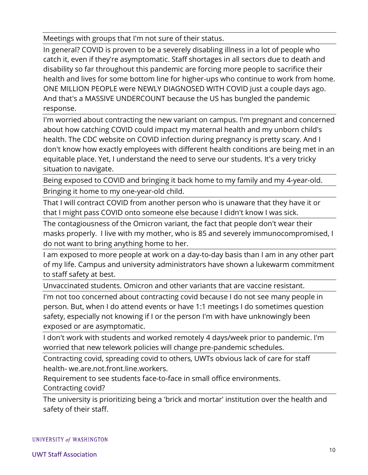Meetings with groups that I'm not sure of their status.

In general? COVID is proven to be a severely disabling illness in a lot of people who catch it, even if they're asymptomatic. Staff shortages in all sectors due to death and disability so far throughout this pandemic are forcing more people to sacrifice their health and lives for some bottom line for higher-ups who continue to work from home. ONE MILLION PEOPLE were NEWLY DIAGNOSED WITH COVID just a couple days ago. And that's a MASSIVE UNDERCOUNT because the US has bungled the pandemic response.

I'm worried about contracting the new variant on campus. I'm pregnant and concerned about how catching COVID could impact my maternal health and my unborn child's health. The CDC website on COVID infection during pregnancy is pretty scary. And I don't know how exactly employees with different health conditions are being met in an equitable place. Yet, I understand the need to serve our students. It's a very tricky situation to navigate.

Being exposed to COVID and bringing it back home to my family and my 4-year-old. Bringing it home to my one-year-old child.

That I will contract COVID from another person who is unaware that they have it or that I might pass COVID onto someone else because I didn't know I was sick.

The contagiousness of the Omicron variant, the fact that people don't wear their masks properly. I live with my mother, who is 85 and severely immunocompromised, I do not want to bring anything home to her.

I am exposed to more people at work on a day-to-day basis than I am in any other part of my life. Campus and university administrators have shown a lukewarm commitment to staff safety at best.

Unvaccinated students. Omicron and other variants that are vaccine resistant.

I'm not too concerned about contracting covid because I do not see many people in person. But, when I do attend events or have 1:1 meetings I do sometimes question safety, especially not knowing if I or the person I'm with have unknowingly been exposed or are asymptomatic.

I don't work with students and worked remotely 4 days/week prior to pandemic. I'm worried that new telework policies will change pre-pandemic schedules.

Contracting covid, spreading covid to others, UWTs obvious lack of care for staff health- we.are.not.front.line.workers.

Requirement to see students face-to-face in small office environments. Contracting covid?

The university is prioritizing being a 'brick and mortar' institution over the health and safety of their staff.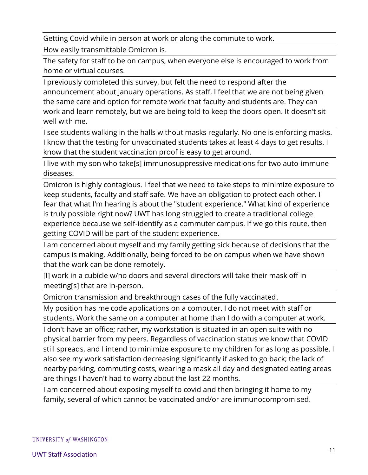Getting Covid while in person at work or along the commute to work.

How easily transmittable Omicron is.

The safety for staff to be on campus, when everyone else is encouraged to work from home or virtual courses.

I previously completed this survey, but felt the need to respond after the announcement about January operations. As staff, I feel that we are not being given the same care and option for remote work that faculty and students are. They can work and learn remotely, but we are being told to keep the doors open. It doesn't sit well with me.

I see students walking in the halls without masks regularly. No one is enforcing masks. I know that the testing for unvaccinated students takes at least 4 days to get results. I know that the student vaccination proof is easy to get around.

I live with my son who take[s] immunosuppressive medications for two auto-immune diseases.

Omicron is highly contagious. I feel that we need to take steps to minimize exposure to keep students, faculty and staff safe. We have an obligation to protect each other. I fear that what I'm hearing is about the "student experience." What kind of experience is truly possible right now? UWT has long struggled to create a traditional college experience because we self-identify as a commuter campus. If we go this route, then getting COVID will be part of the student experience.

I am concerned about myself and my family getting sick because of decisions that the campus is making. Additionally, being forced to be on campus when we have shown that the work can be done remotely.

[I] work in a cubicle w/no doors and several directors will take their mask off in meeting[s] that are in-person.

Omicron transmission and breakthrough cases of the fully vaccinated.

My position has me code applications on a computer. I do not meet with staff or students. Work the same on a computer at home than I do with a computer at work.

I don't have an office; rather, my workstation is situated in an open suite with no physical barrier from my peers. Regardless of vaccination status we know that COVID still spreads, and I intend to minimize exposure to my children for as long as possible. I also see my work satisfaction decreasing significantly if asked to go back; the lack of nearby parking, commuting costs, wearing a mask all day and designated eating areas are things I haven't had to worry about the last 22 months.

I am concerned about exposing myself to covid and then bringing it home to my family, several of which cannot be vaccinated and/or are immunocompromised.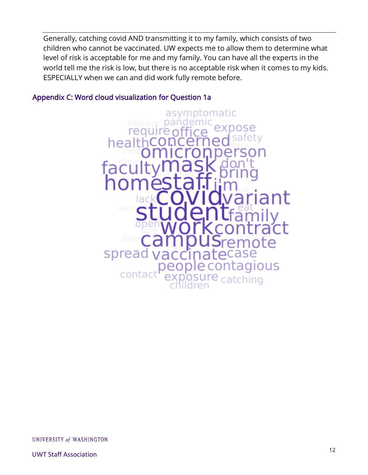Generally, catching covid AND transmitting it to my family, which consists of two children who cannot be vaccinated. UW expects me to allow them to determine what level of risk is acceptable for me and my family. You can have all the experts in the world tell me the risk is low, but there is no acceptable risk when it comes to my kids. ESPECIALLY when we can and did work fully remote before.

### Appendix C: Word cloud visualization for Question 1a



UNIVERSITY of WASHINGTON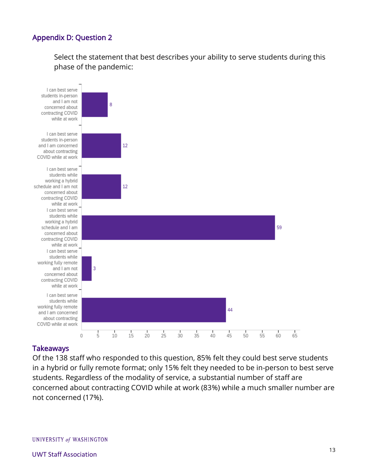## Appendix D: Question 2

Select the statement that best describes your ability to serve students during this phase of the pandemic:



#### **Takeaways**

Of the 138 staff who responded to this question, 85% felt they could best serve students in a hybrid or fully remote format; only 15% felt they needed to be in-person to best serve students. Regardless of the modality of service, a substantial number of staff are concerned about contracting COVID while at work (83%) while a much smaller number are not concerned (17%).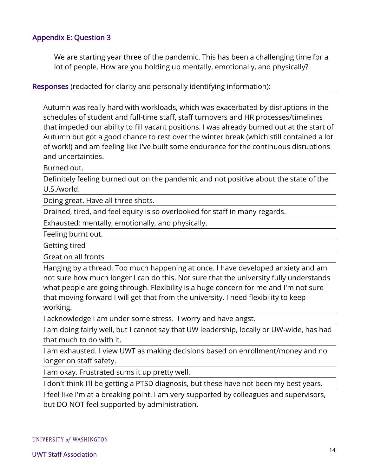### Appendix E: Question 3

We are starting year three of the pandemic. This has been a challenging time for a lot of people. How are you holding up mentally, emotionally, and physically?

Responses (redacted for clarity and personally identifying information):

Autumn was really hard with workloads, which was exacerbated by disruptions in the schedules of student and full-time staff, staff turnovers and HR processes/timelines that impeded our ability to fill vacant positions. I was already burned out at the start of Autumn but got a good chance to rest over the winter break (which still contained a lot of work!) and am feeling like I've built some endurance for the continuous disruptions and uncertainties.

Burned out.

Definitely feeling burned out on the pandemic and not positive about the state of the U.S./world.

Doing great. Have all three shots.

Drained, tired, and feel equity is so overlooked for staff in many regards.

Exhausted; mentally, emotionally, and physically.

Feeling burnt out.

Getting tired

Great on all fronts

Hanging by a thread. Too much happening at once. I have developed anxiety and am not sure how much longer I can do this. Not sure that the university fully understands what people are going through. Flexibility is a huge concern for me and I'm not sure that moving forward I will get that from the university. I need flexibility to keep working.

I acknowledge I am under some stress. I worry and have angst.

I am doing fairly well, but I cannot say that UW leadership, locally or UW-wide, has had that much to do with it.

I am exhausted. I view UWT as making decisions based on enrollment/money and no longer on staff safety.

I am okay. Frustrated sums it up pretty well.

I don't think I'll be getting a PTSD diagnosis, but these have not been my best years.

I feel like I'm at a breaking point. I am very supported by colleagues and supervisors, but DO NOT feel supported by administration.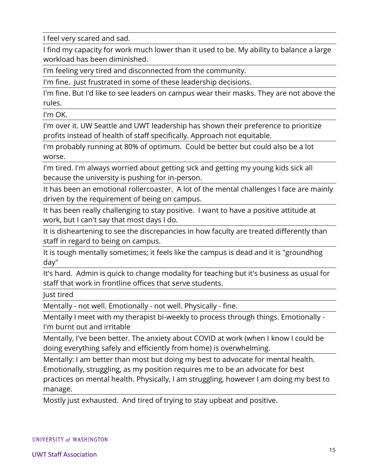I feel very scared and sad.

I find my capacity for work much lower than it used to be. My ability to balance a large workload has been diminished.

I'm feeling very tired and disconnected from the community.

I'm fine. Just frustrated in some of these leadership decisions.

I'm fine. But I'd like to see leaders on campus wear their masks. They are not above the rules.

I'm OK.

I'm over it. UW Seattle and UWT leadership has shown their preference to prioritize profits instead of health of staff specifically. Approach not equitable.

I'm probably running at 80% of optimum. Could be better but could also be a lot worse.

I'm tired. I'm always worried about getting sick and getting my young kids sick all because the university is pushing for in-person.

It has been an emotional rollercoaster. A lot of the mental challenges I face are mainly driven by the requirement of being on campus.

It has been really challenging to stay positive. I want to have a positive attitude at work, but I can't say that most days I do.

It is disheartening to see the discrepancies in how faculty are treated differently than staff in regard to being on campus.

It is tough mentally sometimes; it feels like the campus is dead and it is "groundhog day"

It's hard. Admin is quick to change modality for teaching but it's business as usual for staff that work in frontline offices that serve students.

Just tired

Mentally - not well. Emotionally - not well. Physically - fine.

Mentally I meet with my therapist bi-weekly to process through things. Emotionally - I'm burnt out and irritable

Mentally, I've been better. The anxiety about COVID at work (when I know I could be doing everything safely and efficiently from home) is overwhelming.

Mentally: I am better than most but doing my best to advocate for mental health. Emotionally, struggling, as my position requires me to be an advocate for best practices on mental health. Physically, I am struggling, however I am doing my best to manage.

Mostly just exhausted. And tired of trying to stay upbeat and positive.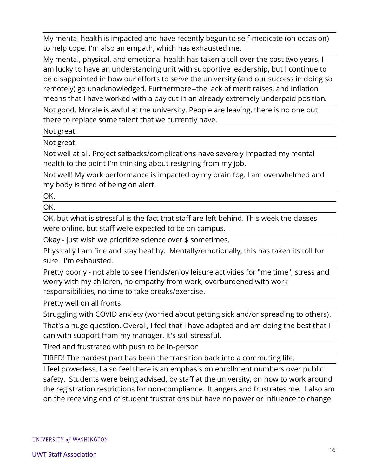My mental health is impacted and have recently begun to self-medicate (on occasion) to help cope. I'm also an empath, which has exhausted me.

My mental, physical, and emotional health has taken a toll over the past two years. I am lucky to have an understanding unit with supportive leadership, but I continue to be disappointed in how our efforts to serve the university (and our success in doing so remotely) go unacknowledged. Furthermore--the lack of merit raises, and inflation means that I have worked with a pay cut in an already extremely underpaid position.

Not good. Morale is awful at the university. People are leaving, there is no one out there to replace some talent that we currently have.

Not great!

Not great.

Not well at all. Project setbacks/complications have severely impacted my mental health to the point I'm thinking about resigning from my job.

Not well! My work performance is impacted by my brain fog. I am overwhelmed and my body is tired of being on alert.

OK.

OK.

OK, but what is stressful is the fact that staff are left behind. This week the classes were online, but staff were expected to be on campus.

Okay - just wish we prioritize science over \$ sometimes.

Physically I am fine and stay healthy. Mentally/emotionally, this has taken its toll for sure. I'm exhausted.

Pretty poorly - not able to see friends/enjoy leisure activities for "me time", stress and worry with my children, no empathy from work, overburdened with work responsibilities, no time to take breaks/exercise.

Pretty well on all fronts.

Struggling with COVID anxiety (worried about getting sick and/or spreading to others).

That's a huge question. Overall, I feel that I have adapted and am doing the best that I can with support from my manager. It's still stressful.

Tired and frustrated with push to be in-person.

TIRED! The hardest part has been the transition back into a commuting life.

I feel powerless. I also feel there is an emphasis on enrollment numbers over public safety. Students were being advised, by staff at the university, on how to work around the registration restrictions for non-compliance. It angers and frustrates me. I also am on the receiving end of student frustrations but have no power or influence to change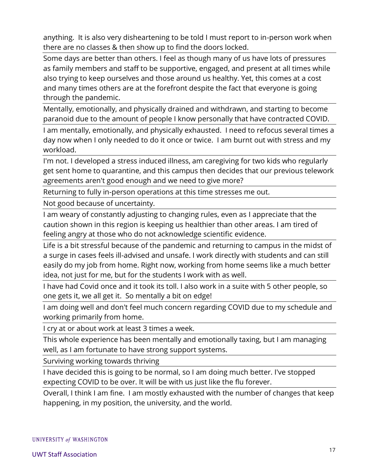anything. It is also very disheartening to be told I must report to in-person work when there are no classes & then show up to find the doors locked.

Some days are better than others. I feel as though many of us have lots of pressures as family members and staff to be supportive, engaged, and present at all times while also trying to keep ourselves and those around us healthy. Yet, this comes at a cost and many times others are at the forefront despite the fact that everyone is going through the pandemic.

Mentally, emotionally, and physically drained and withdrawn, and starting to become paranoid due to the amount of people I know personally that have contracted COVID.

I am mentally, emotionally, and physically exhausted. I need to refocus several times a day now when I only needed to do it once or twice. I am burnt out with stress and my workload.

I'm not. I developed a stress induced illness, am caregiving for two kids who regularly get sent home to quarantine, and this campus then decides that our previous telework agreements aren't good enough and we need to give more?

Returning to fully in-person operations at this time stresses me out.

Not good because of uncertainty.

I am weary of constantly adjusting to changing rules, even as I appreciate that the caution shown in this region is keeping us healthier than other areas. I am tired of feeling angry at those who do not acknowledge scientific evidence.

Life is a bit stressful because of the pandemic and returning to campus in the midst of a surge in cases feels ill-advised and unsafe. I work directly with students and can still easily do my job from home. Right now, working from home seems like a much better idea, not just for me, but for the students I work with as well.

I have had Covid once and it took its toll. I also work in a suite with 5 other people, so one gets it, we all get it. So mentally a bit on edge!

I am doing well and don't feel much concern regarding COVID due to my schedule and working primarily from home.

I cry at or about work at least 3 times a week.

This whole experience has been mentally and emotionally taxing, but I am managing well, as I am fortunate to have strong support systems.

Surviving working towards thriving

I have decided this is going to be normal, so I am doing much better. I've stopped expecting COVID to be over. It will be with us just like the flu forever.

Overall, I think I am fine. I am mostly exhausted with the number of changes that keep happening, in my position, the university, and the world.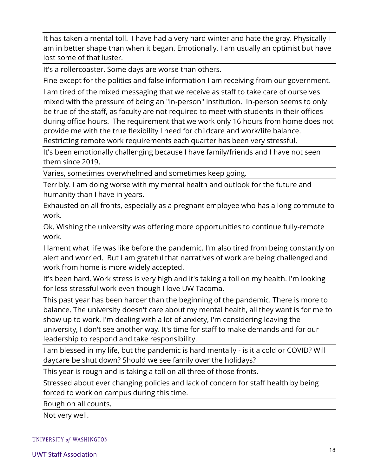It has taken a mental toll. I have had a very hard winter and hate the gray. Physically I am in better shape than when it began. Emotionally, I am usually an optimist but have lost some of that luster.

It's a rollercoaster. Some days are worse than others.

Fine except for the politics and false information I am receiving from our government.

I am tired of the mixed messaging that we receive as staff to take care of ourselves mixed with the pressure of being an "in-person" institution. In-person seems to only be true of the staff, as faculty are not required to meet with students in their offices during office hours. The requirement that we work only 16 hours from home does not provide me with the true flexibility I need for childcare and work/life balance. Restricting remote work requirements each quarter has been very stressful.

It's been emotionally challenging because I have family/friends and I have not seen them since 2019.

Varies, sometimes overwhelmed and sometimes keep going.

Terribly. I am doing worse with my mental health and outlook for the future and humanity than I have in years.

Exhausted on all fronts, especially as a pregnant employee who has a long commute to work.

Ok. Wishing the university was offering more opportunities to continue fully-remote work.

I lament what life was like before the pandemic. I'm also tired from being constantly on alert and worried. But I am grateful that narratives of work are being challenged and work from home is more widely accepted.

It's been hard. Work stress is very high and it's taking a toll on my health. I'm looking for less stressful work even though I love UW Tacoma.

This past year has been harder than the beginning of the pandemic. There is more to balance. The university doesn't care about my mental health, all they want is for me to show up to work. I'm dealing with a lot of anxiety, I'm considering leaving the university, I don't see another way. It's time for staff to make demands and for our leadership to respond and take responsibility.

I am blessed in my life, but the pandemic is hard mentally - is it a cold or COVID? Will daycare be shut down? Should we see family over the holidays?

This year is rough and is taking a toll on all three of those fronts.

Stressed about ever changing policies and lack of concern for staff health by being forced to work on campus during this time.

Rough on all counts.

Not very well.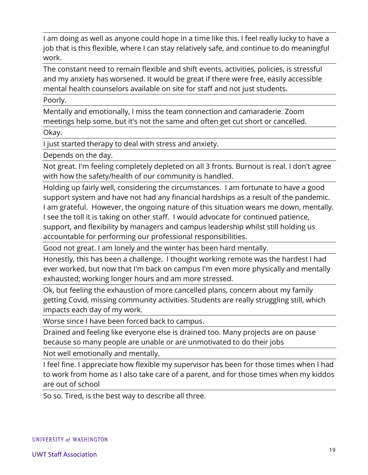I am doing as well as anyone could hope in a time like this. I feel really lucky to have a job that is this flexible, where I can stay relatively safe, and continue to do meaningful work.

The constant need to remain flexible and shift events, activities, policies, is stressful and my anxiety has worsened. It would be great if there were free, easily accessible mental health counselors available on site for staff and not just students.

Poorly.

Mentally and emotionally, I miss the team connection and camaraderie. Zoom meetings help some, but it's not the same and often get cut short or cancelled.

Okay.

I just started therapy to deal with stress and anxiety.

Depends on the day.

Not great. I'm feeling completely depleted on all 3 fronts. Burnout is real. I don't agree with how the safety/health of our community is handled.

Holding up fairly well, considering the circumstances. I am fortunate to have a good support system and have not had any financial hardships as a result of the pandemic. I am grateful. However, the ongoing nature of this situation wears me down, mentally. I see the toll it is taking on other staff. I would advocate for continued patience, support, and flexibility by managers and campus leadership whilst still holding us accountable for performing our professional responsibilities.

Good not great. I am lonely and the winter has been hard mentally.

Honestly, this has been a challenge. I thought working remote was the hardest I had ever worked, but now that I'm back on campus I'm even more physically and mentally exhausted; working longer hours and am more stressed.

Ok, but feeling the exhaustion of more cancelled plans, concern about my family getting Covid, missing community activities. Students are really struggling still, which impacts each day of my work.

Worse since I have been forced back to campus.

Drained and feeling like everyone else is drained too. Many projects are on pause because so many people are unable or are unmotivated to do their jobs

Not well emotionally and mentally.

I feel fine. I appreciate how flexible my supervisor has been for those times when I had to work from home as I also take care of a parent, and for those times when my kiddos are out of school

So so. Tired, is the best way to describe all three.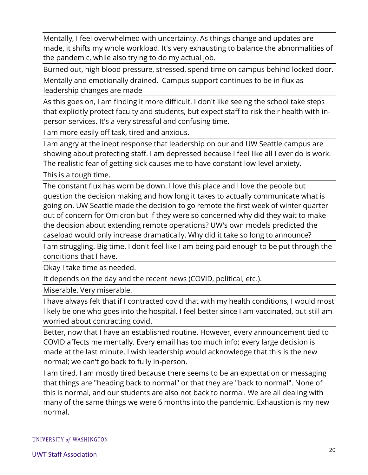Mentally, I feel overwhelmed with uncertainty. As things change and updates are made, it shifts my whole workload. It's very exhausting to balance the abnormalities of the pandemic, while also trying to do my actual job.

Burned out, high blood pressure, stressed, spend time on campus behind locked door.

Mentally and emotionally drained. Campus support continues to be in flux as leadership changes are made

As this goes on, I am finding it more difficult. I don't like seeing the school take steps that explicitly protect faculty and students, but expect staff to risk their health with inperson services. It's a very stressful and confusing time.

I am more easily off task, tired and anxious.

I am angry at the inept response that leadership on our and UW Seattle campus are showing about protecting staff. I am depressed because I feel like all I ever do is work. The realistic fear of getting sick causes me to have constant low-level anxiety.

This is a tough time.

The constant flux has worn be down. I love this place and I love the people but question the decision making and how long it takes to actually communicate what is going on. UW Seattle made the decision to go remote the first week of winter quarter out of concern for Omicron but if they were so concerned why did they wait to make the decision about extending remote operations? UW's own models predicted the caseload would only increase dramatically. Why did it take so long to announce?

I am struggling. Big time. I don't feel like I am being paid enough to be put through the conditions that I have.

Okay I take time as needed.

It depends on the day and the recent news (COVID, political, etc.).

Miserable. Very miserable.

I have always felt that if I contracted covid that with my health conditions, I would most likely be one who goes into the hospital. I feel better since I am vaccinated, but still am worried about contracting covid.

Better, now that I have an established routine. However, every announcement tied to COVID affects me mentally. Every email has too much info; every large decision is made at the last minute. I wish leadership would acknowledge that this is the new normal; we can't go back to fully in-person.

I am tired. I am mostly tired because there seems to be an expectation or messaging that things are "heading back to normal" or that they are "back to normal". None of this is normal, and our students are also not back to normal. We are all dealing with many of the same things we were 6 months into the pandemic. Exhaustion is my new normal.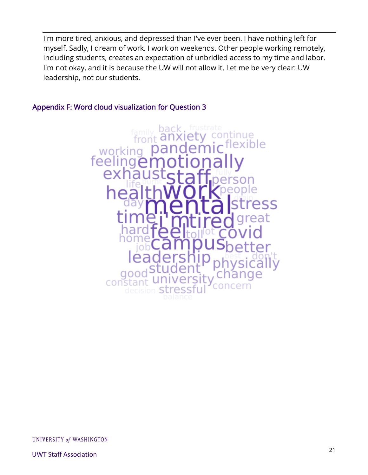I'm more tired, anxious, and depressed than I've ever been. I have nothing left for myself. Sadly, I dream of work. I work on weekends. Other people working remotely, including students, creates an expectation of unbridled access to my time and labor. I'm not okay, and it is because the UW will not allow it. Let me be very clear: UW leadership, not our students.

# Appendix F: Word cloud visualization for Question 3



UNIVERSITY of WASHINGTON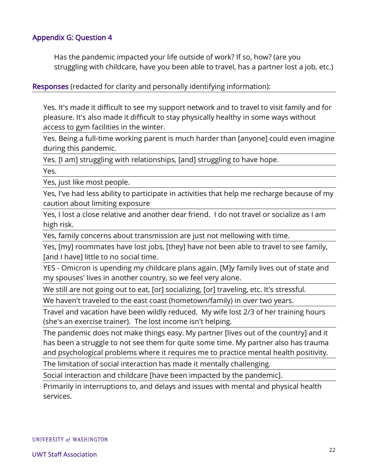#### Appendix G: Question 4

Has the pandemic impacted your life outside of work? If so, how? (are you struggling with childcare, have you been able to travel, has a partner lost a job, etc.)

Responses (redacted for clarity and personally identifying information):

Yes. It's made it difficult to see my support network and to travel to visit family and for pleasure. It's also made it difficult to stay physically healthy in some ways without access to gym facilities in the winter.

Yes. Being a full-time working parent is much harder than [anyone] could even imagine during this pandemic.

Yes. [I am] struggling with relationships, [and] struggling to have hope.

Yes.

Yes, just like most people.

Yes, I've had less ability to participate in activities that help me recharge because of my caution about limiting exposure

Yes, I lost a close relative and another dear friend. I do not travel or socialize as I am high risk.

Yes, family concerns about transmission are just not mellowing with time.

Yes, [my] roommates have lost jobs, [they] have not been able to travel to see family, [and I have] little to no social time.

YES - Omicron is upending my childcare plans again. [M]y family lives out of state and my spouses' lives in another country, so we feel very alone.

We still are not going out to eat, [or] socializing, [or] traveling, etc. It's stressful.

We haven't traveled to the east coast (hometown/family) in over two years.

Travel and vacation have been wildly reduced. My wife lost 2/3 of her training hours (she's an exercise trainer). The lost income isn't helping.

The pandemic does not make things easy. My partner [lives out of the country] and it has been a struggle to not see them for quite some time. My partner also has trauma and psychological problems where it requires me to practice mental health positivity.

The limitation of social interaction has made it mentally challenging.

Social interaction and childcare [have been impacted by the pandemic].

Primarily in interruptions to, and delays and issues with mental and physical health services.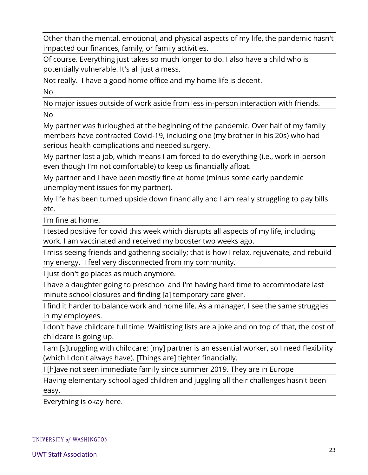Other than the mental, emotional, and physical aspects of my life, the pandemic hasn't impacted our finances, family, or family activities.

Of course. Everything just takes so much longer to do. I also have a child who is potentially vulnerable. It's all just a mess.

Not really. I have a good home office and my home life is decent.

No.

No major issues outside of work aside from less in-person interaction with friends.

No

My partner was furloughed at the beginning of the pandemic. Over half of my family members have contracted Covid-19, including one (my brother in his 20s) who had serious health complications and needed surgery.

My partner lost a job, which means I am forced to do everything (i.e., work in-person even though I'm not comfortable) to keep us financially afloat.

My partner and I have been mostly fine at home (minus some early pandemic unemployment issues for my partner).

My life has been turned upside down financially and I am really struggling to pay bills etc.

I'm fine at home.

I tested positive for covid this week which disrupts all aspects of my life, including work. I am vaccinated and received my booster two weeks ago.

I miss seeing friends and gathering socially; that is how I relax, rejuvenate, and rebuild my energy. I feel very disconnected from my community.

I just don't go places as much anymore.

I have a daughter going to preschool and I'm having hard time to accommodate last minute school closures and finding [a] temporary care giver.

I find it harder to balance work and home life. As a manager, I see the same struggles in my employees.

I don't have childcare full time. Waitlisting lists are a joke and on top of that, the cost of childcare is going up.

I am [s]truggling with childcare; [my] partner is an essential worker, so I need flexibility (which I don't always have). [Things are] tighter financially.

I [h]ave not seen immediate family since summer 2019. They are in Europe

Having elementary school aged children and juggling all their challenges hasn't been easy.

Everything is okay here.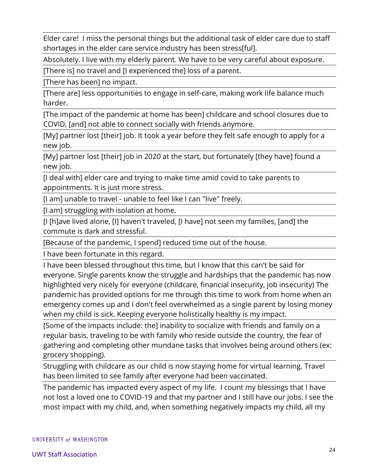Elder care! I miss the personal things but the additional task of elder care due to staff shortages in the elder care service industry has been stress[ful].

Absolutely. I live with my elderly parent. We have to be very careful about exposure.

[There is] no travel and [I experienced the] loss of a parent.

[There has been] no impact.

[There are] less opportunities to engage in self-care, making work life balance much harder.

[The impact of the pandemic at home has been] childcare and school closures due to COVID, [and] not able to connect socially with friends anymore.

[My] partner lost [their] job. It took a year before they felt safe enough to apply for a new job.

[My] partner lost [their] job in 2020 at the start, but fortunately [they have] found a new job.

[I deal with] elder care and trying to make time amid covid to take parents to appointments. It is just more stress.

[I am] unable to travel - unable to feel like I can "live" freely.

[I am] struggling with isolation at home.

[I [h]ave lived alone, [I] haven't traveled, [I have] not seen my families, [and] the commute is dark and stressful.

[Because of the pandemic, I spend] reduced time out of the house.

I have been fortunate in this regard.

I have been blessed throughout this time, but I know that this can't be said for everyone. Single parents know the struggle and hardships that the pandemic has now highlighted very nicely for everyone (childcare, financial insecurity, job insecurity) The pandemic has provided options for me through this time to work from home when an emergency comes up and I don't feel overwhelmed as a single parent by losing money when my child is sick. Keeping everyone holistically healthy is my impact.

[Some of the impacts include: the] inability to socialize with friends and family on a regular basis, traveling to be with family who reside outside the country, the fear of gathering and completing other mundane tasks that involves being around others (ex: grocery shopping).

Struggling with childcare as our child is now staying home for virtual learning. Travel has been limited to see family after everyone had been vaccinated.

The pandemic has impacted every aspect of my life. I count my blessings that I have not lost a loved one to COVID-19 and that my partner and I still have our jobs. I see the most impact with my child, and, when something negatively impacts my child, all my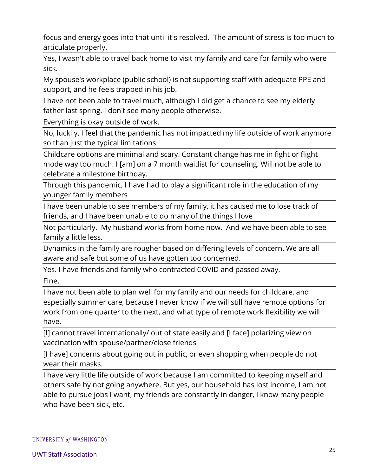focus and energy goes into that until it's resolved. The amount of stress is too much to articulate properly.

Yes, I wasn't able to travel back home to visit my family and care for family who were sick.

My spouse's workplace (public school) is not supporting staff with adequate PPE and support, and he feels trapped in his job.

I have not been able to travel much, although I did get a chance to see my elderly father last spring. I don't see many people otherwise.

Everything is okay outside of work.

No, luckily, I feel that the pandemic has not impacted my life outside of work anymore so than just the typical limitations.

Childcare options are minimal and scary. Constant change has me in fight or flight mode way too much. I [am] on a 7 month waitlist for counseling. Will not be able to celebrate a milestone birthday.

Through this pandemic, I have had to play a significant role in the education of my younger family members

I have been unable to see members of my family, it has caused me to lose track of friends, and I have been unable to do many of the things I love

Not particularly. My husband works from home now. And we have been able to see family a little less.

Dynamics in the family are rougher based on differing levels of concern. We are all aware and safe but some of us have gotten too concerned.

Yes. I have friends and family who contracted COVID and passed away.

Fine.

I have not been able to plan well for my family and our needs for childcare, and especially summer care, because I never know if we will still have remote options for work from one quarter to the next, and what type of remote work flexibility we will have.

[I] cannot travel internationally/ out of state easily and [I face] polarizing view on vaccination with spouse/partner/close friends

[I have] concerns about going out in public, or even shopping when people do not wear their masks.

I have very little life outside of work because I am committed to keeping myself and others safe by not going anywhere. But yes, our household has lost income, I am not able to pursue jobs I want, my friends are constantly in danger, I know many people who have been sick, etc.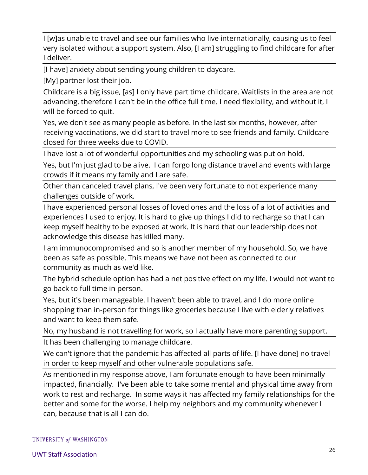I [w]as unable to travel and see our families who live internationally, causing us to feel very isolated without a support system. Also, [I am] struggling to find childcare for after I deliver.

[I have] anxiety about sending young children to daycare.

[My] partner lost their job.

Childcare is a big issue, [as] I only have part time childcare. Waitlists in the area are not advancing, therefore I can't be in the office full time. I need flexibility, and without it, I will be forced to quit.

Yes, we don't see as many people as before. In the last six months, however, after receiving vaccinations, we did start to travel more to see friends and family. Childcare closed for three weeks due to COVID.

I have lost a lot of wonderful opportunities and my schooling was put on hold.

Yes, but I'm just glad to be alive. I can forgo long distance travel and events with large crowds if it means my family and I are safe.

Other than canceled travel plans, I've been very fortunate to not experience many challenges outside of work.

I have experienced personal losses of loved ones and the loss of a lot of activities and experiences I used to enjoy. It is hard to give up things I did to recharge so that I can keep myself healthy to be exposed at work. It is hard that our leadership does not acknowledge this disease has killed many.

I am immunocompromised and so is another member of my household. So, we have been as safe as possible. This means we have not been as connected to our community as much as we'd like.

The hybrid schedule option has had a net positive effect on my life. I would not want to go back to full time in person.

Yes, but it's been manageable. I haven't been able to travel, and I do more online shopping than in-person for things like groceries because I live with elderly relatives and want to keep them safe.

No, my husband is not travelling for work, so I actually have more parenting support.

It has been challenging to manage childcare.

We can't ignore that the pandemic has affected all parts of life. [I have done] no travel in order to keep myself and other vulnerable populations safe.

As mentioned in my response above, I am fortunate enough to have been minimally impacted, financially. I've been able to take some mental and physical time away from work to rest and recharge. In some ways it has affected my family relationships for the better and some for the worse. I help my neighbors and my community whenever I can, because that is all I can do.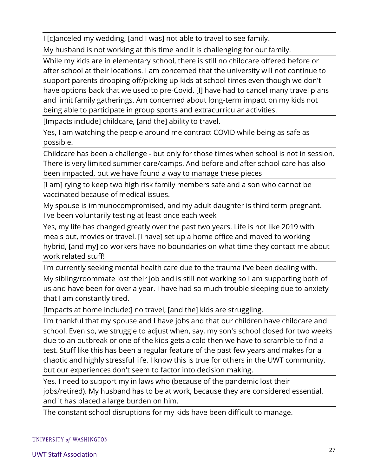I [c]anceled my wedding, [and I was] not able to travel to see family.

My husband is not working at this time and it is challenging for our family.

While my kids are in elementary school, there is still no childcare offered before or after school at their locations. I am concerned that the university will not continue to support parents dropping off/picking up kids at school times even though we don't have options back that we used to pre-Covid. [I] have had to cancel many travel plans and limit family gatherings. Am concerned about long-term impact on my kids not being able to participate in group sports and extracurricular activities.

[Impacts include] childcare, [and the] ability to travel.

Yes, I am watching the people around me contract COVID while being as safe as possible.

Childcare has been a challenge - but only for those times when school is not in session. There is very limited summer care/camps. And before and after school care has also been impacted, but we have found a way to manage these pieces

[I am] rying to keep two high risk family members safe and a son who cannot be vaccinated because of medical issues.

My spouse is immunocompromised, and my adult daughter is third term pregnant. I've been voluntarily testing at least once each week

Yes, my life has changed greatly over the past two years. Life is not like 2019 with meals out, movies or travel. [I have] set up a home office and moved to working hybrid, [and my] co-workers have no boundaries on what time they contact me about work related stuff!

I'm currently seeking mental health care due to the trauma I've been dealing with.

My sibling/roommate lost their job and is still not working so I am supporting both of us and have been for over a year. I have had so much trouble sleeping due to anxiety that I am constantly tired.

[Impacts at home include:] no travel, [and the] kids are struggling.

I'm thankful that my spouse and I have jobs and that our children have childcare and school. Even so, we struggle to adjust when, say, my son's school closed for two weeks due to an outbreak or one of the kids gets a cold then we have to scramble to find a test. Stuff like this has been a regular feature of the past few years and makes for a chaotic and highly stressful life. I know this is true for others in the UWT community, but our experiences don't seem to factor into decision making.

Yes. I need to support my in laws who (because of the pandemic lost their jobs/retired). My husband has to be at work, because they are considered essential, and it has placed a large burden on him.

The constant school disruptions for my kids have been difficult to manage.